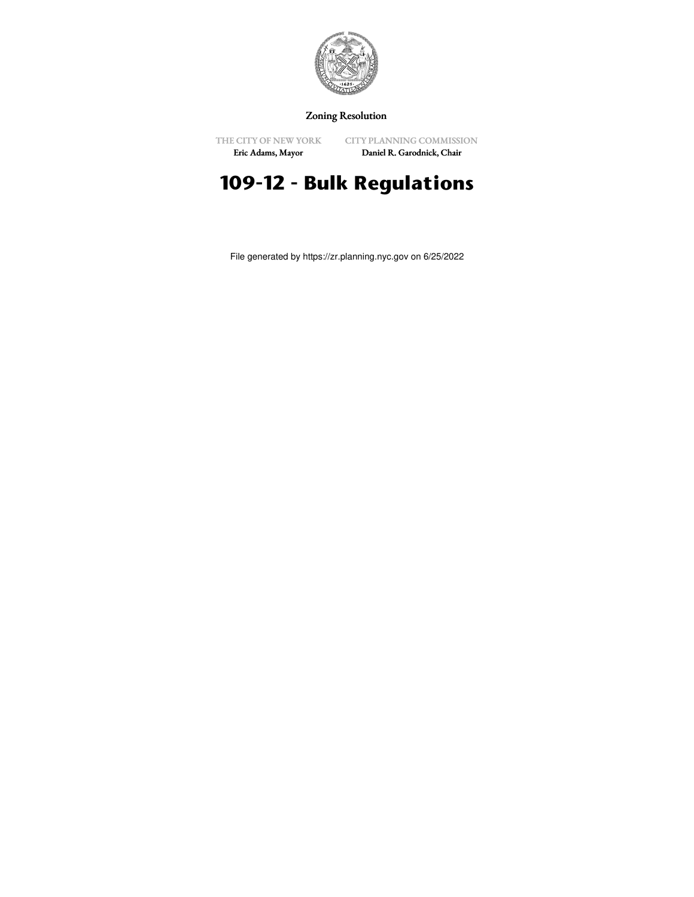

Zoning Resolution

THE CITY OF NEW YORK Eric Adams, Mayor

CITY PLANNING COMMISSION Daniel R. Garodnick, Chair

# **109-12 - Bulk Regulations**

File generated by https://zr.planning.nyc.gov on 6/25/2022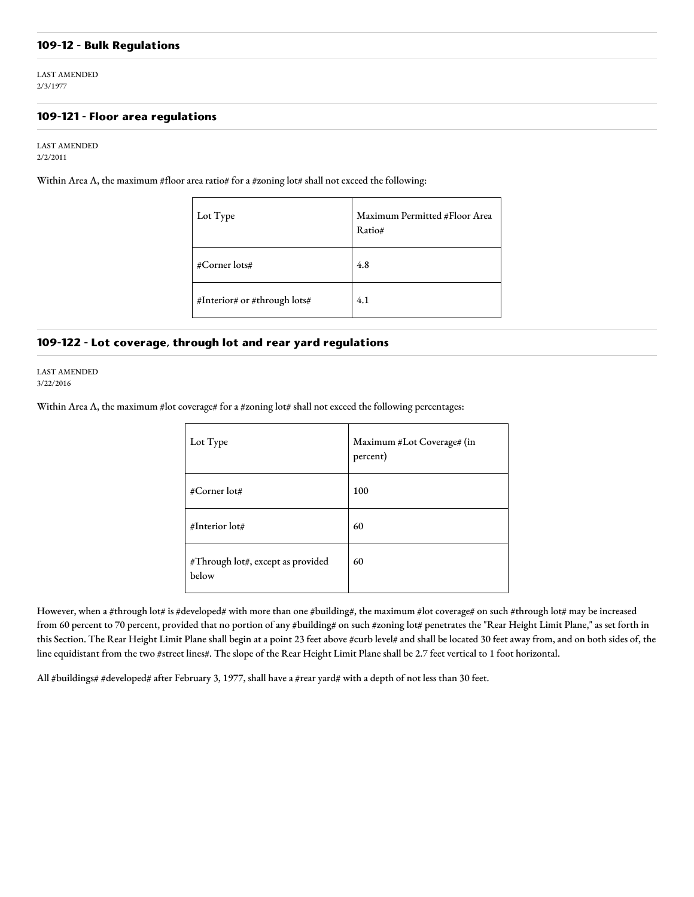## **109-12 - Bulk Regulations**

LAST AMENDED 2/3/1977

## **109-121 - Floor area regulations**

LAST AMENDED 2/2/2011

Within Area A, the maximum #floor area ratio# for a #zoning lot# shall not exceed the following:

| Lot Type                     | Maximum Permitted #Floor Area<br>Ratio# |
|------------------------------|-----------------------------------------|
| #Corner lots#                | 4.8                                     |
| #Interior# or #through lots# | 4.1                                     |

## **109-122 - Lot coverage, through lot and rear yard regulations**

LAST AMENDED 3/22/2016

Within Area A, the maximum #lot coverage# for a #zoning lot# shall not exceed the following percentages:

| Lot Type                                   | Maximum #Lot Coverage# (in<br>percent) |
|--------------------------------------------|----------------------------------------|
| #Corner lot#                               | 100                                    |
| #Interior lot#                             | 60                                     |
| #Through lot#, except as provided<br>below | 60                                     |

However, when a #through lot# is #developed# with more than one #building#, the maximum #lot coverage# on such #through lot# may be increased from 60 percent to 70 percent, provided that no portion of any #building# on such #zoning lot# penetrates the "Rear Height Limit Plane," as set forth in this Section. The Rear Height Limit Plane shall begin at a point 23 feet above #curb level# and shall be located 30 feet away from, and on both sides of, the line equidistant from the two #street lines#. The slope of the Rear Height Limit Plane shall be 2.7 feet vertical to 1 foot horizontal.

All #buildings# #developed# after February 3, 1977, shall have a #rear yard# with a depth of not less than 30 feet.